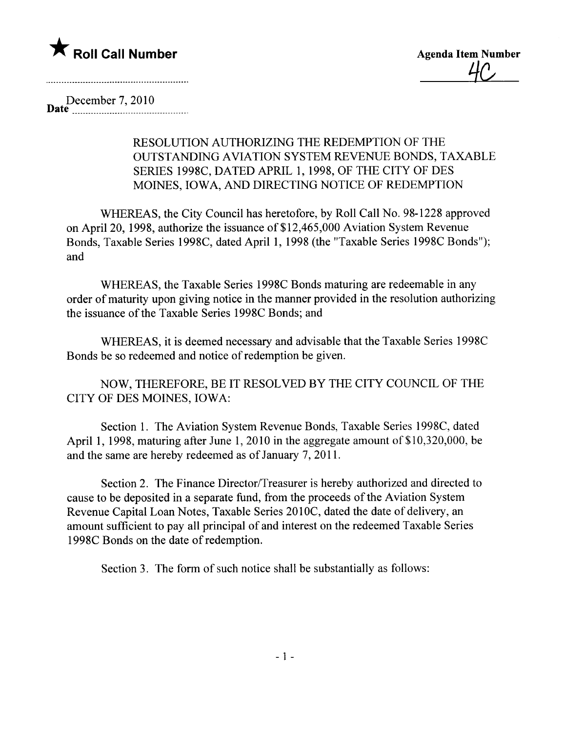

December 7,2010 Date \_\_ \_ \_ \_\_\_\_\_\_\_\_\_\_\_\_...\_ \_ \_ \_\_\_\_\_\_\_\_\_\_\_\_\_\_ \_ \_ \_\_\_u\_

## RESOLUTION AUTHORIZING THE REDEMPTION OF THE OUTSTANDING AVIATION SYSTEM REVENUE BONDS, TAXABLE SERIES 1998C, DATED APRIL 1, 1998, OF THE CITY OF DES MOINES, IOWA, AND DIRECTING NOTICE OF REDEMPTION

WHEREAS, the City Council has heretofore, by Roll Call No. 98-1228 approved on April 20, 1998, authorize the issuance of \$12,465,000 Aviation System Revenue Bonds, Taxable Series 1998C, dated April 1, 1998 (the "Taxable Series 1998C Bonds"); and

WHEREAS, the Taxable Series 1998C Bonds maturing are redeemable in any order of maturity upon giving notice in the manner provided in the resolution authorizing the issuance of the Taxable Series 1998C Bonds; and

WHEREAS, it is deemed necessary and advisable that the Taxable Series 1998C Bonds be so redeemed and notice of redemption be given.

NOW, THEREFORE, BE IT RESOLVED BY THE CITY COUNCIL OF THE CITY OF DES MOINES, IOWA:

Section 1. The Aviation System Revenue Bonds, Taxable Series 1998C, dated April 1, 1998, maturing after June 1, 2010 in the aggregate amount of \$10,320,000, be and the same are hereby redeemed as of January 7, 2011.

Section 2. The Finance Director/Treasurer is hereby authorized and directed to cause to be deposited in a separate fund, from the proceeds of the Aviation System Revenue Capital Loan Notes, Taxable Series 2010C, dated the date of delivery, an amount sufficient to pay all principal of and interest on the redeemed Taxable Series 1998C Bonds on the date of redemption.

Section 3. The form of such notice shall be substantially as follows: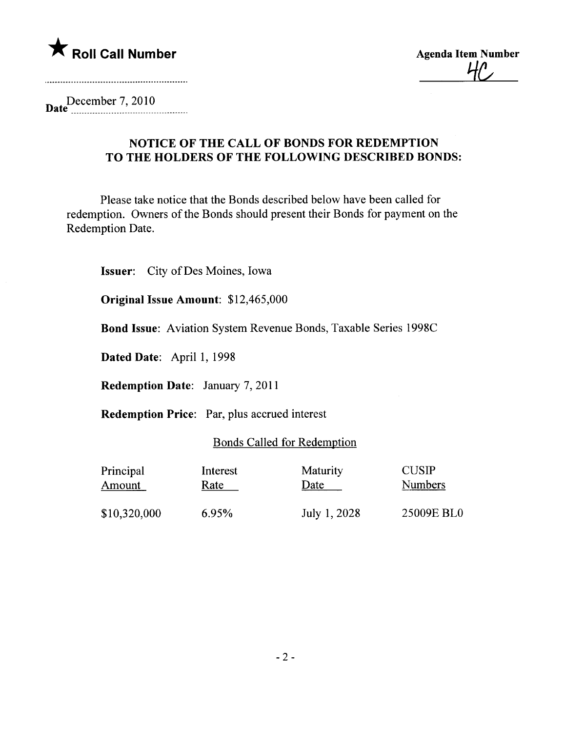

D December 7,2010 ate \_\_\_\_\_\_\_\_\_\_\_\_\_\_\_....\_\_\_\_\_\_\_\_\_\_\_\_\_\_\_\_\_\_..\_\_\_\_\_

## NOTICE OF THE CALL OF BONDS FOR REDEMPTION TO THE HOLDERS OF THE FOLLOWING DESCRIBED BONDS:

Please take notice that the Bonds described below have been called for redemption. Owners of the Bonds should present their Bonds for payment on the Redemption Date.

Issuer: City of Des Moines, Iowa

Original Issue Amount: \$12,465,000

Bond Issue: Aviation System Revenue Bonds, Taxable Series 1998C

Dated Date: April 1, 1998

Redemption Date: January 7, 2011

Redemption Price: Par, plus accrued interest

## Bonds Called for Redemption

| Principal    | Interest | Maturity     | <b>CUSIP</b>   |
|--------------|----------|--------------|----------------|
| Amount       | Rate     | Date         | <b>Numbers</b> |
| \$10,320,000 | 6.95%    | July 1, 2028 | 25009E BL0     |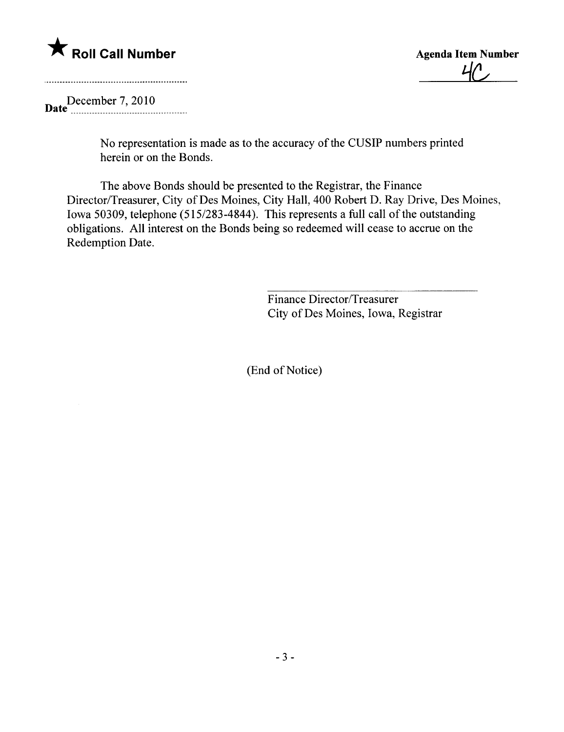

 $4/$ 

D December 7, 2010 ate \_ \_ \_\_\_\_\_\_\_\_\_ \_ \_\_\_\_\_\_\_\_\_\_ \_\_\_\_\_ \_ \_ \_ \_\_u\_\_\_\_ \_\_\_\_\_\_

No representation is made as to the accuracy of the CUSIP numbers printed herein or on the Bonds.

The above Bonds should be presented to the Registrar, the Finance Director/Treasurer, City of Des Moines, City Hall, 400 Robert D. Ray Drive, Des Moines, Iowa 50309, telephone (515/283-4844). This represents a full call of the outstanding obligations. All interest on the Bonds being so redeemed wil cease to accrue on the Redemption Date.

> Finance Director/Treasurer City of Des Moines, Iowa, Registrar

(End of Notice)